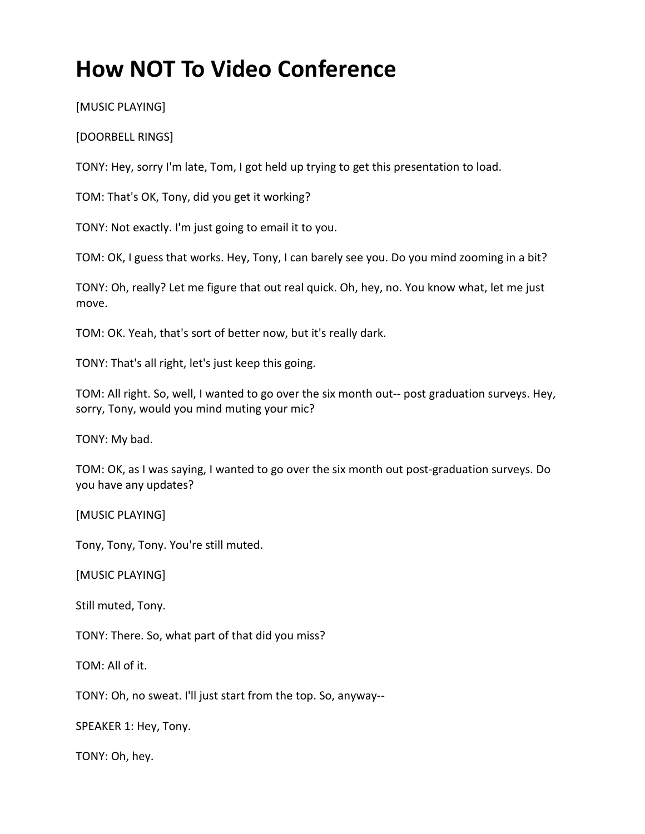## **How NOT To Video Conference**

[MUSIC PLAYING]

[DOORBELL RINGS]

TONY: Hey, sorry I'm late, Tom, I got held up trying to get this presentation to load.

TOM: That's OK, Tony, did you get it working?

TONY: Not exactly. I'm just going to email it to you.

TOM: OK, I guess that works. Hey, Tony, I can barely see you. Do you mind zooming in a bit?

TONY: Oh, really? Let me figure that out real quick. Oh, hey, no. You know what, let me just move.

TOM: OK. Yeah, that's sort of better now, but it's really dark.

TONY: That's all right, let's just keep this going.

TOM: All right. So, well, I wanted to go over the six month out-- post graduation surveys. Hey, sorry, Tony, would you mind muting your mic?

TONY: My bad.

TOM: OK, as I was saying, I wanted to go over the six month out post-graduation surveys. Do you have any updates?

[MUSIC PLAYING]

Tony, Tony, Tony. You're still muted.

[MUSIC PLAYING]

Still muted, Tony.

TONY: There. So, what part of that did you miss?

TOM: All of it.

TONY: Oh, no sweat. I'll just start from the top. So, anyway--

SPEAKER 1: Hey, Tony.

TONY: Oh, hey.